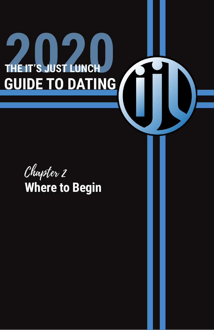# $\blacksquare$  more likely it is that  $\blacksquare$ that fate will drop him or her off at your door, think again, unless you have a penchant for delivery drivers. WITH A TEAM OF MATCHMAKERS LIKE IT MATCHMAKERS LIKE IT MATCHMAKERS LIKE IT MATCHMAKERS LIKE IT MATCHMAKERS LIK smartest way to meet the type of people that you're interested **GUIDE TO DATING A POWERFUL** life, not a bystander who leaves things up to chance. **2020 CHE IT'S JUST LUNCH**

Dating is a numbers game. The more potential mates you meet,

If you're still hankering after your last love, then your heart isn't going to be open to meeting someone new. You are emotionally unavailable. Write a note to yourself that reads "single and available" and stick it on your computer. Laugh at yourself. It helps, You'll get there eventually, just give it time. In the

Dating doesn't have to feel like a job or consume a great deal of

dates, to taking care of all of the details. All you need to do is show up and focus on the date itself! Dating doesn't have to take a great deal of time If you're an It's Just Lunch member, we set up your dates so you only need an hour for lunch or for drinks

*Okay no more excuses. You can sit back and wait forever or get out* 

time. Like anything that is important in your life, approach dating strategically -- perhaps outsource it to the professionals. Chapter 2  $\mathbf{L}_{\text{max}}$  you are an It's Just Lunch member, we do all of the work for the work for the work for the work for **Where to Begin** and the state of the state of the state of the state of the state of the state of the state of the state of the state of the state of the state of the state of the state of the state of the state of the st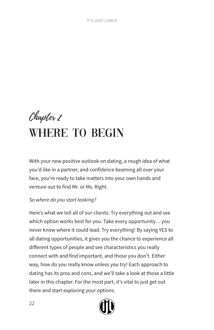Chapter 2 Where to Begin

With your new positive outlook on dating, a rough idea of what you'd like in a partner, and confidence beaming all over your face, you're ready to take matters into your own hands and venture out to find Mr. or Ms. Right.

### *So where do you start looking?*

Here's what we tell all of our clients: Try everything out and see which option works best for you. Take every opportunity… you never know where it could lead. Try everything! By saying YES to all dating opportunities, it gives you the chance to experience all different types of people and see characteristics you really connect with and find important, and those you don't. Either way, how do you really know unless you try! Each approach to dating has its pros and cons, and we'll take a look at those a little later in this chapter. For the most part, it's vital to just get out there and start exploring your options.

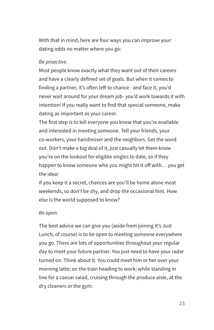With that in mind, here are four ways you can improve your dating odds no matter where you go:

#### *Be proactive.*

Most people know exactly what they want out of their careers and have a clearly defined set of goals. But when it comes to finding a partner, it's often left to chance - and face it, you'd never wait around for your dream job- you'd work towards it with intention! If you really want to find that special someone, make dating as important as your career.

The first step is to tell everyone you know that you're available and interested in meeting someone. Tell your friends, your co-workers, your hairdresser and the neighbors. Get the word out. Don't make a big deal of it, just casually let them know you're on the lookout for eligible singles to date, so if they happen to know someone who you might hit it off with... you get the idea!

If you keep it a secret, chances are you'll be home alone most weekends, so don't be shy, and drop the occasional hint. How else is the world supposed to know?

#### *Be open.*

The best advice we can give you (aside from joining It's Just Lunch, of course) is to be open to meeting someone everywhere you go. There are lots of opportunities throughout your regular day to meet your future partner. You just need to have your radar turned on. Think about it. You could meet him or her over your morning latte; on the train heading to work; while standing in line for a caesar salad, cruising through the produce aisle, at the dry cleaners or the gym.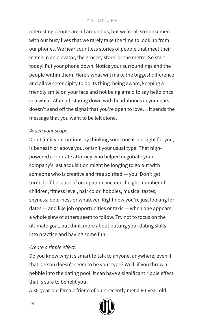#### IT'S JUST LUNCH

Interesting people are all around us, but we're all so consumed with our busy lives that we rarely take the time to look up from our phones. We hear countless stories of people that meet their match in an elevator, the grocery store, or the metro. So start today! Put your phone down. Notice your surroundings and the people within them. Here's what will make the biggest difference and allow serendipity to do its thing: being aware, keeping a friendly smile on your face and not being afraid to say hello once in a while. After all, staring down with headphones in your ears doesn't send off the signal that you're open to love… it sends the message that you want to be left alone.

### *Widen your scope.*

Don't limit your options by thinking someone is not right for you, is beneath or above you, or isn't your usual type. That highpowered corporate attorney who helped negotiate your company's last acquisition might be longing to go out with someone who is creative and free spirited — you! Don't get turned off because of occupation, income, height, number of children, fitness level, hair color, hobbies, musical tastes, shyness, bold-ness or whatever. Right now you're just looking for dates — and like job opportunities or taxis — when one appears, a whole slew of others seem to follow. Try not to focus on the ultimate goal, but think more about putting your dating skills into practice and having some fun.

### *Create a ripple effect.*

Do you know why it's smart to talk to anyone, anywhere, even if that person doesn't seem to be your type? Well, if you throw a pebble into the dating pool, it can have a significant ripple effect that is sure to benefit you.

A 30-year-old female friend of ours recently met a 60-year-old

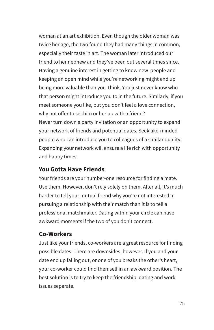woman at an art exhibition. Even though the older woman was twice her age, the two found they had many things in common, especially their taste in art. The woman later introduced our friend to her nephew and they've been out several times since. Having a genuine interest in getting to know new people and keeping an open mind while you're networking might end up being more valuable than you think. You just never know who that person might introduce you to in the future. Similarly, if you meet someone you like, but you don't feel a love connection, why not offer to set him or her up with a friend? Never turn down a party invitation or an opportunity to expand your network of friends and potential dates. Seek like-minded people who can introduce you to colleagues of a similar quality. Expanding your network will ensure a life rich with opportunity and happy times.

### **You Gotta Have Friends**

Your friends are your number-one resource for finding a mate. Use them. However, don't rely solely on them. After all, it's much harder to tell your mutual friend why you're not interested in pursuing a relationship with their match than it is to tell a professional matchmaker. Dating within your circle can have awkward moments if the two of you don't connect.

### **Co-Workers**

Just like your friends, co-workers are a great resource for finding possible dates. There are downsides, however. If you and your date end up falling out, or one of you breaks the other's heart, your co-worker could find themself in an awkward position. The best solution is to try to keep the friendship, dating and work issues separate.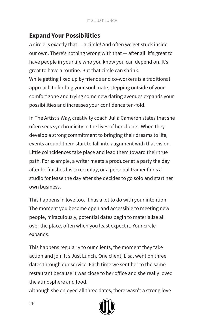# **Expand Your Possibilities**

A circle is exactly that — a circle! And often we get stuck inside our own. There's nothing wrong with that — after all, it's great to have people in your life who you know you can depend on. It's great to have a routine. But that circle can shrink. While getting fixed up by friends and co-workers is a traditional approach to finding your soul mate, stepping outside of your comfort zone and trying some new dating avenues expands your possibilities and increases your confidence ten-fold.

In The Artist's Way, creativity coach Julia Cameron states that she often sees synchronicity in the lives of her clients. When they develop a strong commitment to bringing their dreams to life, events around them start to fall into alignment with that vision. Little coincidences take place and lead them toward their true path. For example, a writer meets a producer at a party the day after he finishes his screenplay, or a personal trainer finds a studio for lease the day after she decides to go solo and start her own business.

This happens in love too. It has a lot to do with your intention. The moment you become open and accessible to meeting new people, miraculously, potential dates begin to materialize all over the place, often when you least expect it. Your circle expands.

This happens regularly to our clients, the moment they take action and join It's Just Lunch. One client, Lisa, went on three dates through our service. Each time we sent her to the same restaurant because it was close to her office and she really loved the atmosphere and food.

Although she enjoyed all three dates, there wasn't a strong love

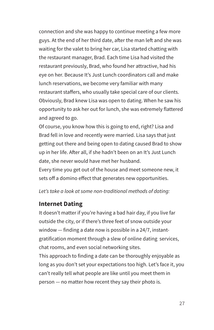connection and she was happy to continue meeting a few more guys. At the end of her third date, after the man left and she was waiting for the valet to bring her car, Lisa started chatting with the restaurant manager, Brad. Each time Lisa had visited the restaurant previously, Brad, who found her attractive, had his eye on her. Because It's Just Lunch coordinators call and make lunch reservations, we become very familiar with many restaurant staffers, who usually take special care of our clients. Obviously, Brad knew Lisa was open to dating. When he saw his opportunity to ask her out for lunch, she was extremely flattered and agreed to go.

Of course, you know how this is going to end, right? Lisa and Brad fell in love and recently were married. Lisa says that just getting out there and being open to dating caused Brad to show up in her life. After all, if she hadn't been on an It's Just Lunch date, she never would have met her husband.

Every time you get out of the house and meet someone new, it sets off a domino effect that generates new opportunities.

#### *Let's take a look at some non-traditional methods of dating:*

### **Internet Dating**

It doesn't matter if you're having a bad hair day, if you live far outside the city, or if there's three feet of snow outside your window — finding a date now is possible in a 24/7, instantgratification moment through a slew of online dating services, chat rooms, and even social networking sites.

This approach to finding a date can be thoroughly enjoyable as long as you don't set your expectations too high. Let's face it, you can't really tell what people are like until you meet them in person — no matter how recent they say their photo is.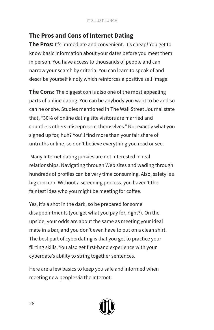#### IT'S JUST LUNCH

# **The Pros and Cons of Internet Dating**

**The Pros:** It's immediate and convenient. It's cheap! You get to know basic information about your dates before you meet them in person. You have access to thousands of people and can narrow your search by criteria. You can learn to speak of and describe yourself kindly which reinforces a positive self image.

**The Cons:** The biggest con is also one of the most appealing parts of online dating. You can be anybody you want to be and so can he or she. Studies mentioned in The Wall Street Journal state that, "30% of online dating site visitors are married and countless others misrepresent themselves." Not exactly what you signed up for, huh? You'll find more than your fair share of untruths online, so don't believe everything you read or see.

 Many Internet dating junkies are not interested in real relationships. Navigating through Web sites and wading through hundreds of profiles can be very time consuming. Also, safety is a big concern. Without a screening process, you haven't the faintest idea who you might be meeting for coffee.

Yes, it's a shot in the dark, so be prepared for some disappointments (you get what you pay for, right?). On the upside, your odds are about the same as meeting your ideal mate in a bar, and you don't even have to put on a clean shirt. The best part of cyberdating is that you get to practice your flirting skills. You also get first-hand experience with your cyberdate's ability to string together sentences.

Here are a few basics to keep you safe and informed when meeting new people via the Internet:

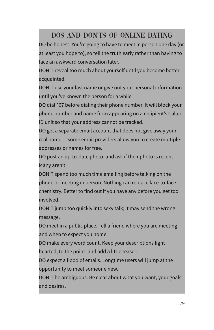# DOS AND DON'TS OF ONLINE DATING

DO be honest. You're going to have to meet in person one day (or at least you hope to), so tell the truth early rather than having to face an awkward conversation later.

DON'T reveal too much about yourself until you become better acquainted.

DON'T use your last name or give out your personal information until you've known the person for a while.

DO dial \*67 before dialing their phone number. It will block your phone number and name from appearing on a recipient's Caller ID unit so that your address cannot be tracked.

DO get a separate email account that does not give away your real name — some email providers allow you to create multiple addresses or names for free.

DO post an up-to-date photo, and ask if their photo is recent. Many aren't.

DON'T spend too much time emailing before talking on the phone or meeting in person. Nothing can replace face-to-face chemistry. Better to find out if you have any before you get too involved.

DON'T jump too quickly into sexy talk; it may send the wrong message.

DO meet in a public place. Tell a friend where you are meeting and when to expect you home.

DO make every word count. Keep your descriptions light hearted, to the point, and add a little teaser.

DO expect a flood of emails. Longtime users will jump at the opportunity to meet someone new.

DON'T be ambiguous. Be clear about what you want, your goals and desires.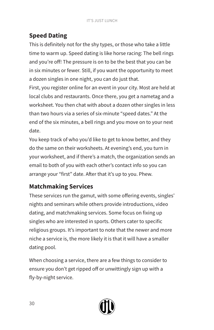# **Speed Dating**

This is definitely not for the shy types, or those who take a little time to warm up. Speed dating is like horse racing: The bell rings and you're off! The pressure is on to be the best that you can be in six minutes or fewer. Still, if you want the opportunity to meet a dozen singles in one night, you can do just that.

First, you register online for an event in your city. Most are held at local clubs and restaurants. Once there, you get a nametag and a worksheet. You then chat with about a dozen other singles in less than two hours via a series of six-minute "speed dates." At the end of the six minutes, a bell rings and you move on to your next date.

You keep track of who you'd like to get to know better, and they do the same on their worksheets. At evening's end, you turn in your worksheet, and if there's a match, the organization sends an email to both of you with each other's contact info so you can arrange your "first" date. After that it's up to you. Phew.

# **Matchmaking Services**

These services run the gamut, with some offering events, singles' nights and seminars while others provide introductions, video dating, and matchmaking services. Some focus on fixing up singles who are interested in sports. Others cater to specific religious groups. It's important to note that the newer and more niche a service is, the more likely it is that it will have a smaller dating pool.

When choosing a service, there are a few things to consider to ensure you don't get ripped off or unwittingly sign up with a fly-by-night service.

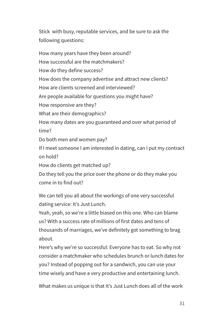Stick with busy, reputable services, and be sure to ask the following questions:

How many years have they been around? How successful are the matchmakers? How do they define success? How does the company advertise and attract new clients? How are clients screened and interviewed? Are people available for questions you might have? How responsive are they? What are their demographics? How many dates are you guaranteed and over what period of time? Do both men and women pay? If I meet someone I am interested in dating, can I put my contract on hold? How do clients get matched up?

Do they tell you the price over the phone or do they make you come in to find out?

We can tell you all about the workings of one very successful dating service: It's Just Lunch.

Yeah, yeah, so we're a little biased on this one. Who can blame us? With a success rate of millions of first dates and tens of thousands of marriages, we've definitely got something to brag about.

Here's why we're so successful: Everyone has to eat. So why not consider a matchmaker who schedules brunch or lunch dates for you? Instead of popping out for a sandwich, you can use your time wisely and have a very productive and entertaining lunch.

What makes us unique is that It's Just Lunch does all of the work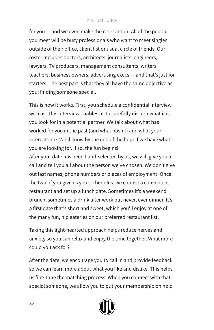#### IT'S JUST LUNCH

for you — and we even make the reservation! All of the people you meet will be busy professionals who want to meet singles outside of their office, client list or usual circle of friends. Our roster includes doctors, architects, journalists, engineers, lawyers, TV producers, management consultants, writers, teachers, business owners, advertising execs — and that's just for starters. The best part is that they all have the same objective as you: finding someone special.

This is how it works. First, you schedule a confidential interview with us. This interview enables us to carefully discern what it is you look for in a potential partner. We talk about what has worked for you in the past (and what hasn't) and what your interests are. We'll know by the end of the hour if we have what you are looking for. If so, the fun begins!

After your date has been hand-selected by us, we will give you a call and tell you all about the person we've chosen. We don't give out last names, phone numbers or places of employment. Once the two of you give us your schedules, we choose a convenient restaurant and set up a lunch date. Sometimes it's a weekend brunch, sometimes a drink after work but never, ever dinner. It's a first date that's short and sweet, which you'll enjoy at one of the many fun, hip eateries on our preferred restaurant list.

Taking this light-hearted approach helps reduce nerves and anxiety so you can relax and enjoy the time together. What more could you ask for?

After the date, we encourage you to call in and provide feedback so we can learn more about what you like and dislike. This helps us fine-tune the matching process. When you connect with that special someone, we allow you to put your membership on hold